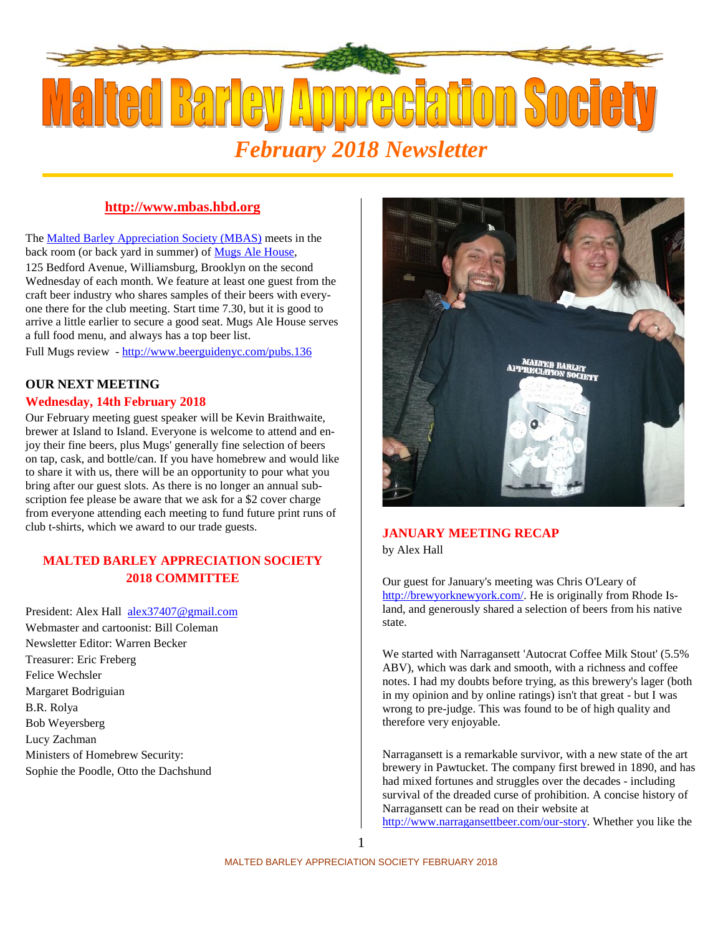

## **http://www.mbas.hbd.org**

The Malted Barley Appreciation Society (MBAS) meets in the back room (or back yard in summer) of Mugs Ale House,

125 Bedford Avenue, Williamsburg, Brooklyn on the second Wednesday of each month. We feature at least one guest from the craft beer industry who shares samples of their beers with everyone there for the club meeting. Start time 7.30, but it is good to arrive a little earlier to secure a good seat. Mugs Ale House serves a full food menu, and always has a top beer list.

Full Mugs review - http://www.beerguidenyc.com/pubs.136

## **OUR NEXT MEETING**

#### **Wednesday, 14th February 2018**

Our February meeting guest speaker will be Kevin Braithwaite, brewer at Island to Island. Everyone is welcome to attend and enjoy their fine beers, plus Mugs' generally fine selection of beers on tap, cask, and bottle/can. If you have homebrew and would like to share it with us, there will be an opportunity to pour what you bring after our guest slots. As there is no longer an annual subscription fee please be aware that we ask for a \$2 cover charge from everyone attending each meeting to fund future print runs of club t-shirts, which we award to our trade guests.

## **MALTED BARLEY APPRECIATION SOCIETY 2018 COMMITTEE**

President: Alex Hall alex37407@gmail.com Webmaster and cartoonist: Bill Coleman Newsletter Editor: Warren Becker Treasurer: Eric Freberg Felice Wechsler Margaret Bodriguian B.R. Rolya Bob Weyersberg Lucy Zachman Ministers of Homebrew Security: Sophie the Poodle, Otto the Dachshund



#### **JANUARY MEETING RECAP** by Alex Hall

Our guest for January's meeting was Chris O'Leary of http://brewyorknewyork.com/. He is originally from Rhode Island, and generously shared a selection of beers from his native state.

We started with Narragansett 'Autocrat Coffee Milk Stout' (5.5% ABV), which was dark and smooth, with a richness and coffee notes. I had my doubts before trying, as this brewery's lager (both in my opinion and by online ratings) isn't that great - but I was wrong to pre-judge. This was found to be of high quality and therefore very enjoyable.

Narragansett is a remarkable survivor, with a new state of the art brewery in Pawtucket. The company first brewed in 1890, and has had mixed fortunes and struggles over the decades - including survival of the dreaded curse of prohibition. A concise history of Narragansett can be read on their website at http://www.narragansettbeer.com/our-story. Whether you like the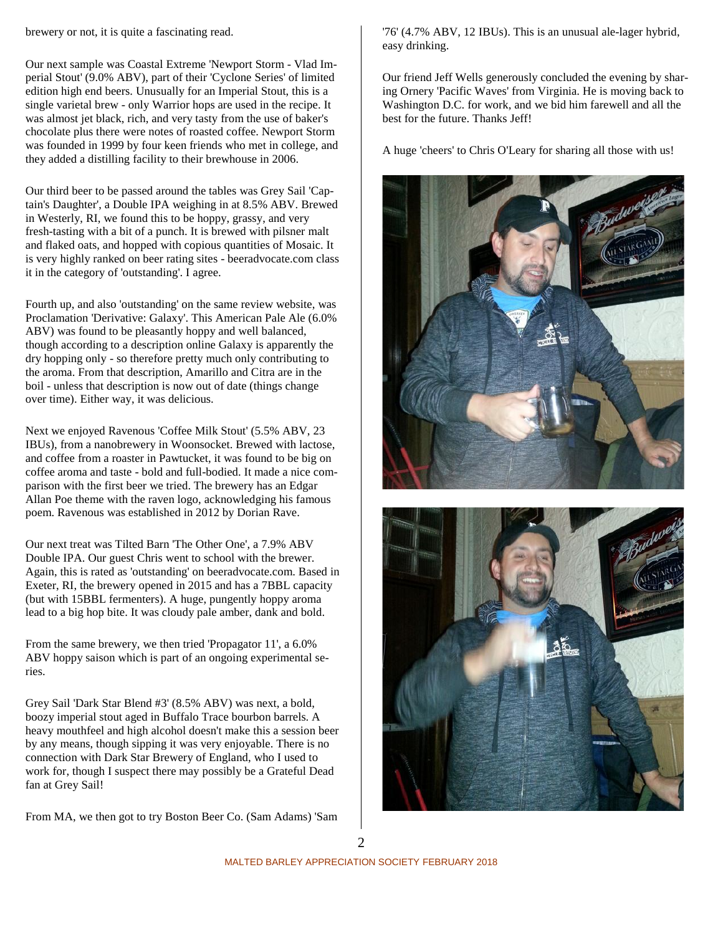brewery or not, it is quite a fascinating read.

Our next sample was Coastal Extreme 'Newport Storm - Vlad Imperial Stout' (9.0% ABV), part of their 'Cyclone Series' of limited edition high end beers. Unusually for an Imperial Stout, this is a single varietal brew - only Warrior hops are used in the recipe. It was almost jet black, rich, and very tasty from the use of baker's chocolate plus there were notes of roasted coffee. Newport Storm was founded in 1999 by four keen friends who met in college, and they added a distilling facility to their brewhouse in 2006.

Our third beer to be passed around the tables was Grey Sail 'Captain's Daughter', a Double IPA weighing in at 8.5% ABV. Brewed in Westerly, RI, we found this to be hoppy, grassy, and very fresh-tasting with a bit of a punch. It is brewed with pilsner malt and flaked oats, and hopped with copious quantities of Mosaic. It is very highly ranked on beer rating sites - beeradvocate.com class it in the category of 'outstanding'. I agree.

Fourth up, and also 'outstanding' on the same review website, was Proclamation 'Derivative: Galaxy'. This American Pale Ale (6.0% ABV) was found to be pleasantly hoppy and well balanced, though according to a description online Galaxy is apparently the dry hopping only - so therefore pretty much only contributing to the aroma. From that description, Amarillo and Citra are in the boil - unless that description is now out of date (things change over time). Either way, it was delicious.

Next we enjoyed Ravenous 'Coffee Milk Stout' (5.5% ABV, 23 IBUs), from a nanobrewery in Woonsocket. Brewed with lactose, and coffee from a roaster in Pawtucket, it was found to be big on coffee aroma and taste - bold and full-bodied. It made a nice comparison with the first beer we tried. The brewery has an Edgar Allan Poe theme with the raven logo, acknowledging his famous poem. Ravenous was established in 2012 by Dorian Rave.

Our next treat was Tilted Barn 'The Other One', a 7.9% ABV Double IPA. Our guest Chris went to school with the brewer. Again, this is rated as 'outstanding' on beeradvocate.com. Based in Exeter, RI, the brewery opened in 2015 and has a 7BBL capacity (but with 15BBL fermenters). A huge, pungently hoppy aroma lead to a big hop bite. It was cloudy pale amber, dank and bold.

From the same brewery, we then tried 'Propagator 11', a 6.0% ABV hoppy saison which is part of an ongoing experimental series.

Grey Sail 'Dark Star Blend #3' (8.5% ABV) was next, a bold, boozy imperial stout aged in Buffalo Trace bourbon barrels. A heavy mouthfeel and high alcohol doesn't make this a session beer by any means, though sipping it was very enjoyable. There is no connection with Dark Star Brewery of England, who I used to work for, though I suspect there may possibly be a Grateful Dead fan at Grey Sail!

From MA, we then got to try Boston Beer Co. (Sam Adams) 'Sam

'76' (4.7% ABV, 12 IBUs). This is an unusual ale-lager hybrid, easy drinking.

Our friend Jeff Wells generously concluded the evening by sharing Ornery 'Pacific Waves' from Virginia. He is moving back to Washington D.C. for work, and we bid him farewell and all the best for the future. Thanks Jeff!

A huge 'cheers' to Chris O'Leary for sharing all those with us!



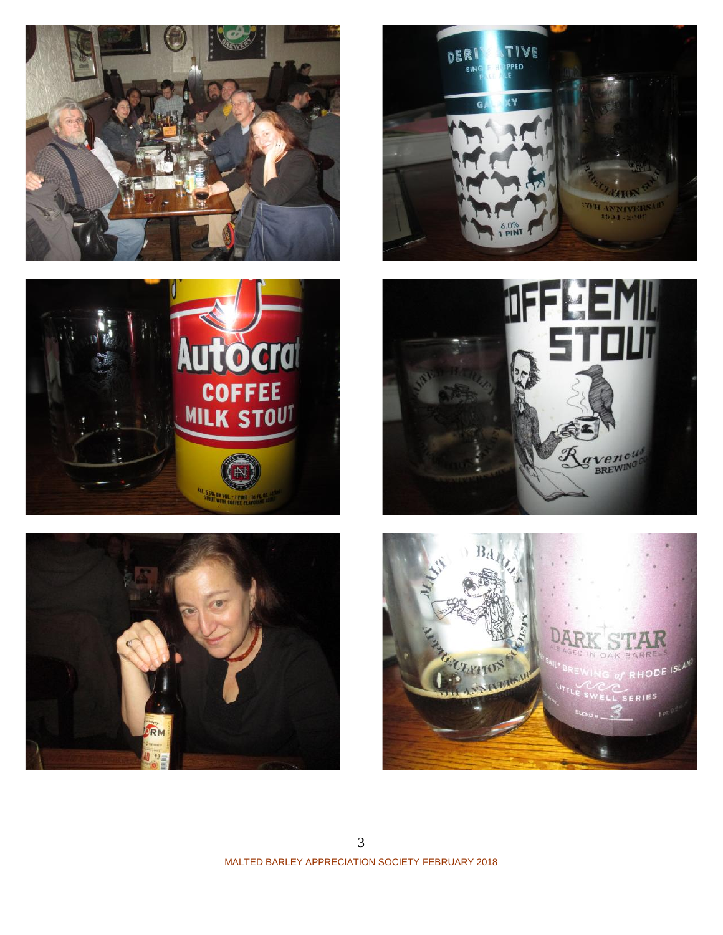